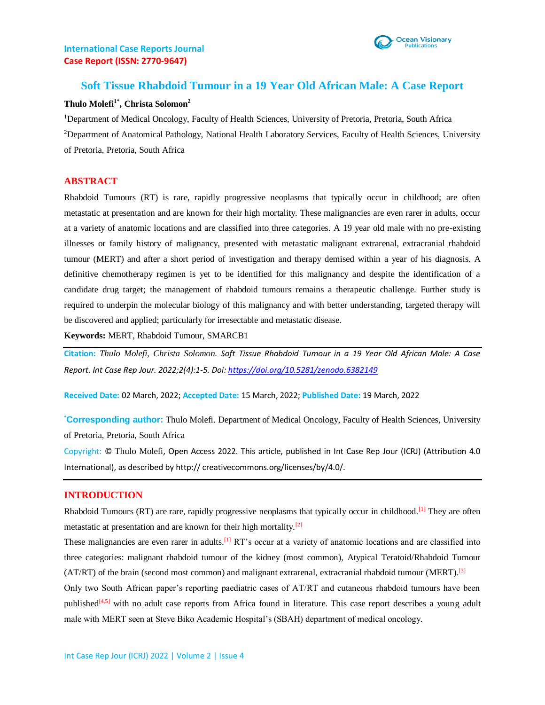## **International Case Reports Journal Case Report (ISSN: 2770-9647)**



# **Soft Tissue Rhabdoid Tumour in a 19 Year Old African Male: A Case Report**

#### **Thulo Molefi1\*, Christa Solomon<sup>2</sup>**

<sup>1</sup>Department of Medical Oncology, Faculty of Health Sciences, University of Pretoria, Pretoria, South Africa <sup>2</sup>Department of Anatomical Pathology, National Health Laboratory Services, Faculty of Health Sciences, University of Pretoria, Pretoria, South Africa

## **ABSTRACT**

Rhabdoid Tumours (RT) is rare, rapidly progressive neoplasms that typically occur in childhood; are often metastatic at presentation and are known for their high mortality. These malignancies are even rarer in adults, occur at a variety of anatomic locations and are classified into three categories. A 19 year old male with no pre-existing illnesses or family history of malignancy, presented with metastatic malignant extrarenal, extracranial rhabdoid tumour (MERT) and after a short period of investigation and therapy demised within a year of his diagnosis. A definitive chemotherapy regimen is yet to be identified for this malignancy and despite the identification of a candidate drug target; the management of rhabdoid tumours remains a therapeutic challenge. Further study is required to underpin the molecular biology of this malignancy and with better understanding, targeted therapy will be discovered and applied; particularly for irresectable and metastatic disease.

**Keywords:** MERT, Rhabdoid Tumour, SMARCB1

**Citation:** *Thulo Molefi, Christa Solomon. Soft Tissue Rhabdoid Tumour in a 19 Year Old African Male: A Case Report. Int Case Rep Jour. 2022;2(4):1-5. Doi[: https://doi.org/10.5281/zenodo.6382149](https://doi.org/10.5281/zenodo.6382149)*

**Received Date:** 02 March, 2022; **Accepted Date:** 15 March, 2022; **Published Date:** 19 March, 2022

**\*Corresponding author:** Thulo Molefi. Department of Medical Oncology, Faculty of Health Sciences, University of Pretoria, Pretoria, South Africa

Copyright: © Thulo Molefi, Open Access 2022. This article, published in Int Case Rep Jour (ICRJ) (Attribution 4.0 International), as described by http:// creativecommons.org/licenses/by/4.0/.

#### **INTRODUCTION**

Rhabdoid Tumours (RT) are rare, rapidly progressive neoplasms that typically occur in childhood.<sup>[1]</sup> They are often metastatic at presentation and are known for their high mortality.<sup>[2]</sup>

These malignancies are even rarer in adults.<sup>[1]</sup> RT's occur at a variety of anatomic locations and are classified into three categories: malignant rhabdoid tumour of the kidney (most common), Atypical Teratoid/Rhabdoid Tumour (AT/RT) of the brain (second most common) and malignant extrarenal, extracranial rhabdoid tumour (MERT).<sup>[3]</sup>

Only two South African paper's reporting paediatric cases of AT/RT and cutaneous rhabdoid tumours have been published<sup>[4,5]</sup> with no adult case reports from Africa found in literature. This case report describes a young adult male with MERT seen at Steve Biko Academic Hospital's (SBAH) department of medical oncology.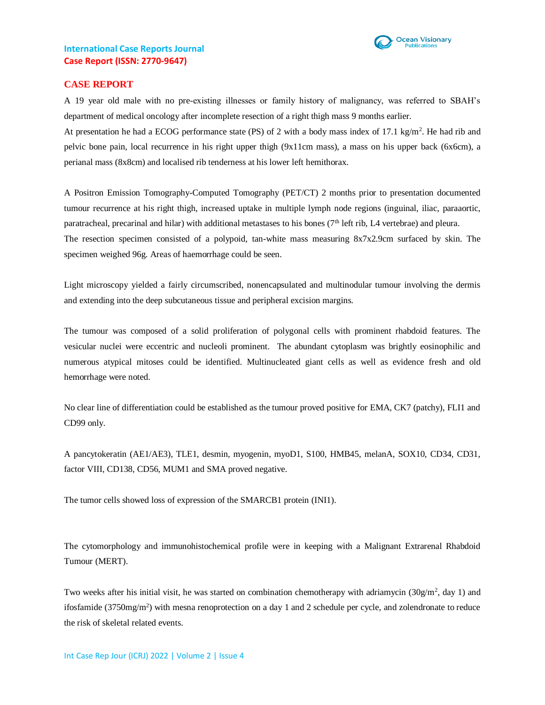



### **CASE REPORT**

A 19 year old male with no pre-existing illnesses or family history of malignancy, was referred to SBAH's department of medical oncology after incomplete resection of a right thigh mass 9 months earlier.

At presentation he had a ECOG performance state (PS) of 2 with a body mass index of 17.1 kg/m<sup>2</sup>. He had rib and pelvic bone pain, local recurrence in his right upper thigh (9x11cm mass), a mass on his upper back (6x6cm), a perianal mass (8x8cm) and localised rib tenderness at his lower left hemithorax.

A Positron Emission Tomography-Computed Tomography (PET/CT) 2 months prior to presentation documented tumour recurrence at his right thigh, increased uptake in multiple lymph node regions (inguinal, iliac, paraaortic, paratracheal, precarinal and hilar) with additional metastases to his bones ( $7<sup>th</sup>$  left rib, L4 vertebrae) and pleura. The resection specimen consisted of a polypoid, tan-white mass measuring 8x7x2.9cm surfaced by skin. The specimen weighed 96g. Areas of haemorrhage could be seen.

Light microscopy yielded a fairly circumscribed, nonencapsulated and multinodular tumour involving the dermis and extending into the deep subcutaneous tissue and peripheral excision margins.

The tumour was composed of a solid proliferation of polygonal cells with prominent rhabdoid features. The vesicular nuclei were eccentric and nucleoli prominent. The abundant cytoplasm was brightly eosinophilic and numerous atypical mitoses could be identified. Multinucleated giant cells as well as evidence fresh and old hemorrhage were noted.

No clear line of differentiation could be established as the tumour proved positive for EMA, CK7 (patchy), FLI1 and CD99 only.

A pancytokeratin (AE1/AE3), TLE1, desmin, myogenin, myoD1, S100, HMB45, melanA, SOX10, CD34, CD31, factor VIII, CD138, CD56, MUM1 and SMA proved negative.

The tumor cells showed loss of expression of the SMARCB1 protein (INI1).

The cytomorphology and immunohistochemical profile were in keeping with a Malignant Extrarenal Rhabdoid Tumour (MERT).

Two weeks after his initial visit, he was started on combination chemotherapy with adriamycin ( $30g/m^2$ , day 1) and ifosfamide  $(3750mg/m<sup>2</sup>)$  with mesna renoprotection on a day 1 and 2 schedule per cycle, and zolendronate to reduce the risk of skeletal related events.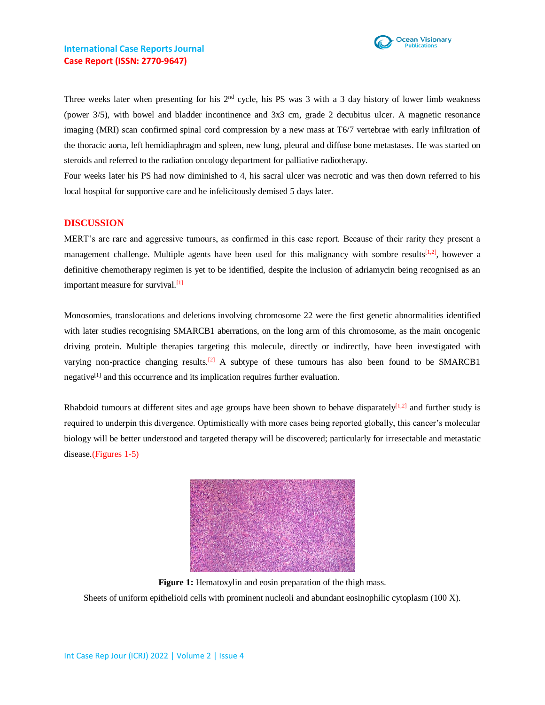

Three weeks later when presenting for his  $2<sup>nd</sup>$  cycle, his PS was 3 with a 3 day history of lower limb weakness (power 3/5), with bowel and bladder incontinence and 3x3 cm, grade 2 decubitus ulcer. A magnetic resonance imaging (MRI) scan confirmed spinal cord compression by a new mass at T6/7 vertebrae with early infiltration of the thoracic aorta, left hemidiaphragm and spleen, new lung, pleural and diffuse bone metastases. He was started on steroids and referred to the radiation oncology department for palliative radiotherapy.

Four weeks later his PS had now diminished to 4, his sacral ulcer was necrotic and was then down referred to his local hospital for supportive care and he infelicitously demised 5 days later.

#### **DISCUSSION**

MERT's are rare and aggressive tumours, as confirmed in this case report. Because of their rarity they present a management challenge. Multiple agents have been used for this malignancy with sombre results<sup>[1,2]</sup>, however a definitive chemotherapy regimen is yet to be identified, despite the inclusion of adriamycin being recognised as an important measure for survival.[1]

Monosomies, translocations and deletions involving chromosome 22 were the first genetic abnormalities identified with later studies recognising SMARCB1 aberrations, on the long arm of this chromosome, as the main oncogenic driving protein. Multiple therapies targeting this molecule, directly or indirectly, have been investigated with varying non-practice changing results.[2] A subtype of these tumours has also been found to be SMARCB1 negative<sup>[1]</sup> and this occurrence and its implication requires further evaluation.

Rhabdoid tumours at different sites and age groups have been shown to behave disparately $[1,2]$  and further study is required to underpin this divergence. Optimistically with more cases being reported globally, this cancer's molecular biology will be better understood and targeted therapy will be discovered; particularly for irresectable and metastatic disease.(Figures 1-5)



**Figure 1:** Hematoxylin and eosin preparation of the thigh mass. Sheets of uniform epithelioid cells with prominent nucleoli and abundant eosinophilic cytoplasm (100 X).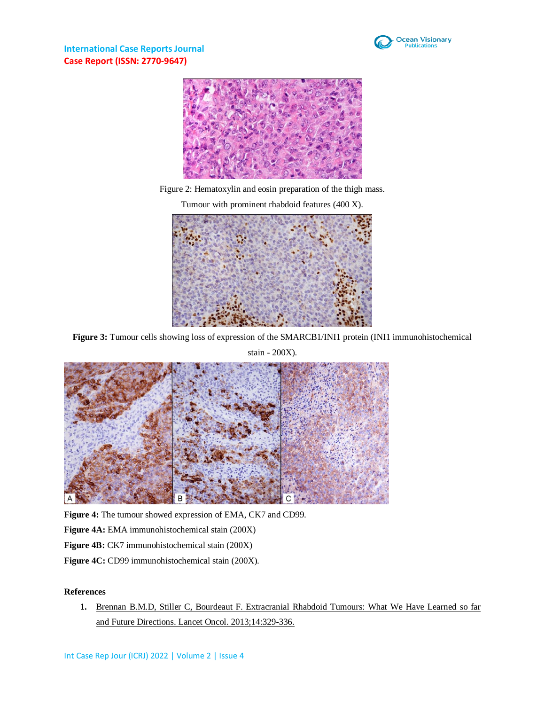

**International Case Reports Journal Case Report (ISSN: 2770-9647)**



Figure 2: Hematoxylin and eosin preparation of the thigh mass.

Tumour with prominent rhabdoid features (400 X).



**Figure 3:** Tumour cells showing loss of expression of the SMARCB1/INI1 protein (INI1 immunohistochemical



**Figure 4:** The tumour showed expression of EMA, CK7 and CD99.

**Figure 4A:** EMA immunohistochemical stain (200X)

**Figure 4B:** CK7 immunohistochemical stain (200X)

Figure 4C: CD99 immunohistochemical stain (200X).

## **References**

**1.** [Brennan B.M.D, Stiller C, Bourdeaut F. Extracranial Rhabdoid Tumours: What We Have Learned so far](https://pubmed.ncbi.nlm.nih.gov/23816299/)  and Future Directions. [Lancet Oncol. 2013;14:329-336.](https://pubmed.ncbi.nlm.nih.gov/23816299/)